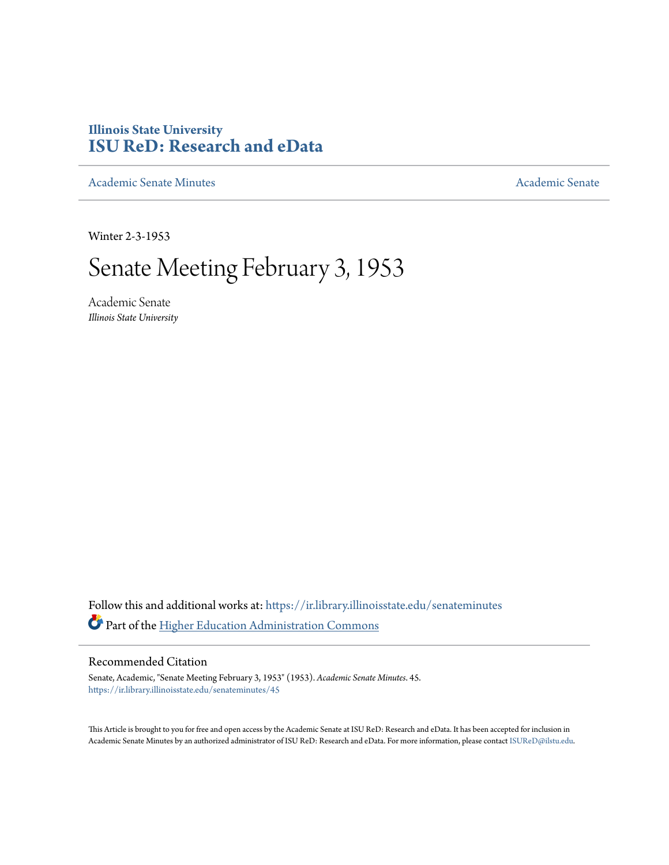## **Illinois State University [ISU ReD: Research and eData](https://ir.library.illinoisstate.edu?utm_source=ir.library.illinoisstate.edu%2Fsenateminutes%2F45&utm_medium=PDF&utm_campaign=PDFCoverPages)**

[Academic Senate Minutes](https://ir.library.illinoisstate.edu/senateminutes?utm_source=ir.library.illinoisstate.edu%2Fsenateminutes%2F45&utm_medium=PDF&utm_campaign=PDFCoverPages) [Academic Senate](https://ir.library.illinoisstate.edu/senate?utm_source=ir.library.illinoisstate.edu%2Fsenateminutes%2F45&utm_medium=PDF&utm_campaign=PDFCoverPages) Academic Senate

Winter 2-3-1953

# Senate Meeting February 3, 1953

Academic Senate *Illinois State University*

Follow this and additional works at: [https://ir.library.illinoisstate.edu/senateminutes](https://ir.library.illinoisstate.edu/senateminutes?utm_source=ir.library.illinoisstate.edu%2Fsenateminutes%2F45&utm_medium=PDF&utm_campaign=PDFCoverPages) Part of the [Higher Education Administration Commons](http://network.bepress.com/hgg/discipline/791?utm_source=ir.library.illinoisstate.edu%2Fsenateminutes%2F45&utm_medium=PDF&utm_campaign=PDFCoverPages)

### Recommended Citation

Senate, Academic, "Senate Meeting February 3, 1953" (1953). *Academic Senate Minutes*. 45. [https://ir.library.illinoisstate.edu/senateminutes/45](https://ir.library.illinoisstate.edu/senateminutes/45?utm_source=ir.library.illinoisstate.edu%2Fsenateminutes%2F45&utm_medium=PDF&utm_campaign=PDFCoverPages)

This Article is brought to you for free and open access by the Academic Senate at ISU ReD: Research and eData. It has been accepted for inclusion in Academic Senate Minutes by an authorized administrator of ISU ReD: Research and eData. For more information, please contact [ISUReD@ilstu.edu.](mailto:ISUReD@ilstu.edu)